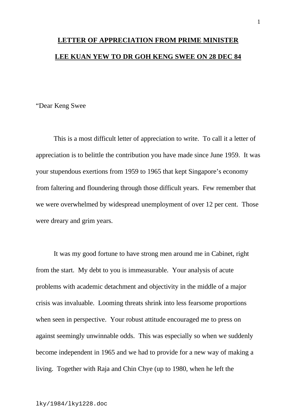## **LETTER OF APPRECIATION FROM PRIME MINISTER LEE KUAN YEW TO DR GOH KENG SWEE ON 28 DEC 84**

"Dear Keng Swee

This is a most difficult letter of appreciation to write. To call it a letter of appreciation is to belittle the contribution you have made since June 1959. It was your stupendous exertions from 1959 to 1965 that kept Singapore's economy from faltering and floundering through those difficult years. Few remember that we were overwhelmed by widespread unemployment of over 12 per cent. Those were dreary and grim years.

It was my good fortune to have strong men around me in Cabinet, right from the start. My debt to you is immeasurable. Your analysis of acute problems with academic detachment and objectivity in the middle of a major crisis was invaluable. Looming threats shrink into less fearsome proportions when seen in perspective. Your robust attitude encouraged me to press on against seemingly unwinnable odds. This was especially so when we suddenly become independent in 1965 and we had to provide for a new way of making a living. Together with Raja and Chin Chye (up to 1980, when he left the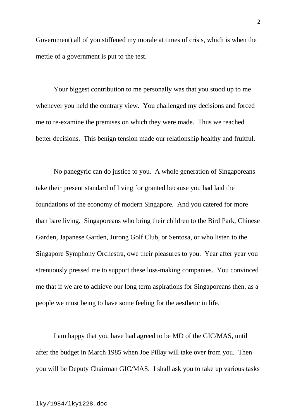Government) all of you stiffened my morale at times of crisis, which is when the mettle of a government is put to the test.

Your biggest contribution to me personally was that you stood up to me whenever you held the contrary view. You challenged my decisions and forced me to re-examine the premises on which they were made. Thus we reached better decisions. This benign tension made our relationship healthy and fruitful.

No panegyric can do justice to you. A whole generation of Singaporeans take their present standard of living for granted because you had laid the foundations of the economy of modern Singapore. And you catered for more than bare living. Singaporeans who bring their children to the Bird Park, Chinese Garden, Japanese Garden, Jurong Golf Club, or Sentosa, or who listen to the Singapore Symphony Orchestra, owe their pleasures to you. Year after year you strenuously pressed me to support these loss-making companies. You convinced me that if we are to achieve our long term aspirations for Singaporeans then, as a people we must being to have some feeling for the aesthetic in life.

I am happy that you have had agreed to be MD of the GIC/MAS, until after the budget in March 1985 when Joe Pillay will take over from you. Then you will be Deputy Chairman GIC/MAS. I shall ask you to take up various tasks